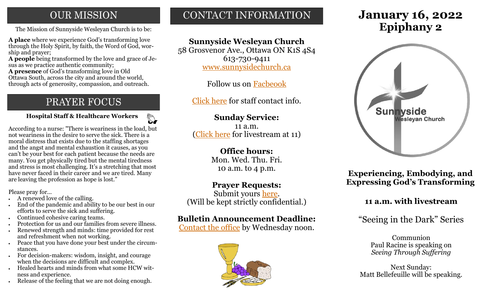# **OUR MISSION**

**A place** where we experience God's transforming love through the Holy Spirit, by faith, the Word of God, worship and prayer;

**A people** being transformed by the love and grace of Jesus as we practice authentic community;

**A presence** of God's transforming love in Old Ottawa South, across the city and around the world, through acts of generosity, compassion, and outreach.

# PRAYER FOCUS

 $\begin{picture}(120,15) \put(0,0){\line(1,0){155}} \put(15,0){\line(1,0){155}} \put(15,0){\line(1,0){155}} \put(15,0){\line(1,0){155}} \put(15,0){\line(1,0){155}} \put(15,0){\line(1,0){155}} \put(15,0){\line(1,0){155}} \put(15,0){\line(1,0){155}} \put(15,0){\line(1,0){155}} \put(15,0){\line(1,0){155}} \put(15,0){\line(1,0){155}}$ **Hospital Staff & Healthcare Workers**

According to a nurse: "There is weariness in the load, but not weariness in the desire to serve the sick. There is a moral distress that exists due to the staffing shortages and the angst and mental exhaustion it causes, as you can't be your best for each patient because the needs are many. You get physically tired but the mental tiredness and stress is most challenging. It's a stretching that most have never faced in their career and we are tired. Many are leaving the profession as hope is lost."

Please pray for...

- A renewed love of the calling.
- End of the pandemic and ability to be our best in our efforts to serve the sick and suffering.
- Continued cohesive caring teams.
- Protection for us and our families from severe illness.
- Renewed strength and minds: time provided for rest and refreshment when not working.
- Peace that you have done your best under the circumstances.
- For decision-makers: wisdom, insight, and courage when the decisions are difficult and complex.
- Healed hearts and minds from what some HCW witness and experience.
- Release of the feeling that we are not doing enough.

# CONTACT INFORMATION

# **Sunnyside Wesleyan Church**

58 Grosvenor Ave., Ottawa ON K1S 4S4 613-730-9411 [www.sunnysidechurch.ca](http://www.sunnysidechurch.ca)

Follow us on [Facbeook](http://www.facebook.com/sunnysidewesleyanchurch)

[Click here](http://www.sunnysidechurch.ca/about-sunnyside/staff/) for staff contact info.

## **Sunday Service:** 11 a.m.

([Click here](https://youtube.com/channel/UCYfl9Qy37Az7fqqFQpDEwjg) for livestream at 11)

# **Office hours:** Mon. Wed. Thu. Fri.

10 a.m. to 4 p.m.

## **Prayer Requests:**

Submit yours [here.](mailto:prayer@sunnysidechurch.ca) (Will be kept strictly confidential.)

## **Bulletin Announcement Deadline:**

[Contact the office](mailto:office@sunnysidechurch.ca) by Wednesday noon.



# **January 16, 2022** The Mission of Sunnyside Wesleyan Church is to be: **Epiphany 2**



**Experiencing, Embodying, and Expressing God's Transforming** 

## **11 a.m. with livestream**

"Seeing in the Dark" Series

Communion Paul Racine is speaking on *Seeing Through Suffering* 

Next Sunday: Matt Bellefeuille will be speaking.